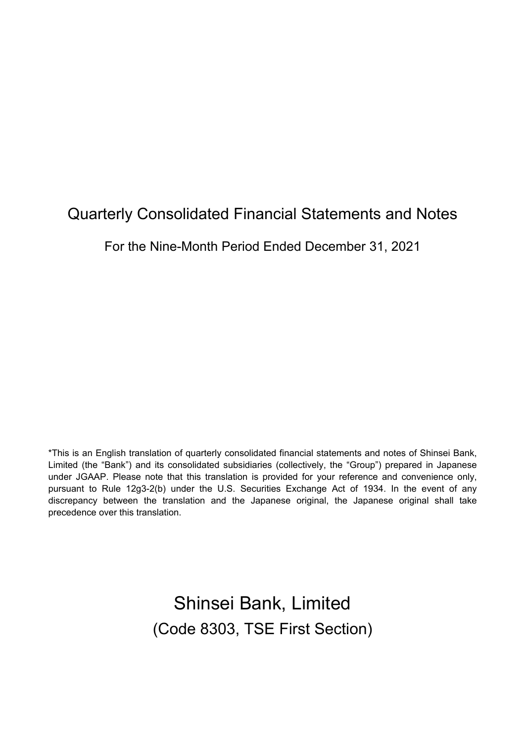# **Quarterly Consolidated Financial Statements and Notes**

For the Nine-Month Period Ended December 31, 2021

\*This is an English translation of quarterly consolidated financial statements and notes of Shinsei Bank, Limited (the "Bank") and its consolidated subsidiaries (collectively, the "Group") prepared in Japanese under JGAAP. Please note that this translation is provided for your reference and convenience only, pursuant to Rule 12g3-2(b) under the U.S. Securities Exchange Act of 1934. In the event of any discrepancy between the translation and the Japanese original, the Japanese original shall take precedence over this translation.

> Shinsei Bank, Limited (Code 8303, TSE First Section)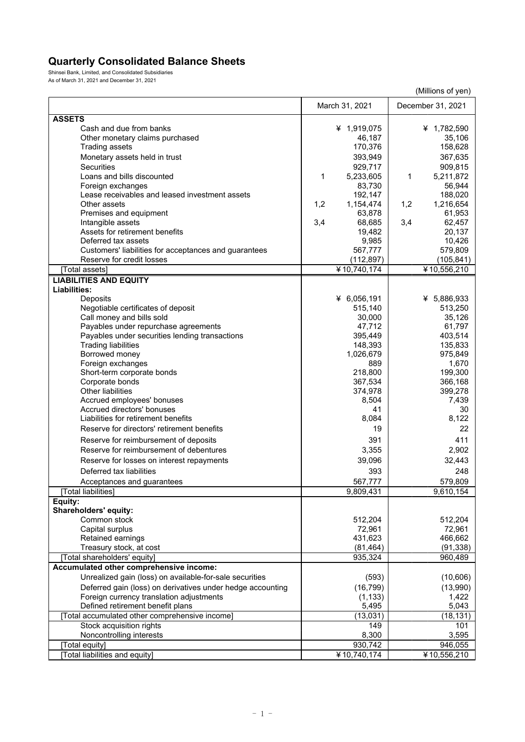## **Quarterly Consolidated Balance Sheets**

Shinsei Bank, Limited, and Consolidated Subsidiaries As of March 31, 2021 and December 31, 2021

|                                                            |                     | (Millions of yen)         |
|------------------------------------------------------------|---------------------|---------------------------|
|                                                            | March 31, 2021      | December 31, 2021         |
| <b>ASSETS</b>                                              |                     |                           |
| Cash and due from banks                                    | ¥ 1,919,075         | ¥ 1,782,590               |
| Other monetary claims purchased                            | 46,187              | 35,106                    |
| Trading assets                                             | 170,376             | 158,628                   |
| Monetary assets held in trust                              | 393,949             | 367,635                   |
| <b>Securities</b>                                          | 929,717             |                           |
| Loans and bills discounted                                 | 1                   | 909,815<br>1<br>5,211,872 |
| Foreign exchanges                                          | 5,233,605<br>83,730 | 56,944                    |
| Lease receivables and leased investment assets             | 192,147             | 188,020                   |
| Other assets                                               | 1,2<br>1,154,474    | 1,216,654<br>1,2          |
| Premises and equipment                                     | 63,878              | 61,953                    |
| Intangible assets                                          | 3,4<br>68,685       | 62,457<br>3,4             |
| Assets for retirement benefits                             | 19,482              | 20,137                    |
| Deferred tax assets                                        | 9,985               | 10,426                    |
| Customers' liabilities for acceptances and guarantees      | 567,777             | 579,809                   |
| Reserve for credit losses                                  | (112, 897)          | (105, 841)                |
| [Total assets]                                             | ¥10,740,174         | ¥10,556,210               |
| <b>LIABILITIES AND EQUITY</b>                              |                     |                           |
| Liabilities:                                               |                     |                           |
| Deposits                                                   | ¥ $6,056,191$       | ¥ 5,886,933               |
| Negotiable certificates of deposit                         | 515,140             | 513,250                   |
| Call money and bills sold                                  | 30,000              | 35,126                    |
| Payables under repurchase agreements                       | 47,712              | 61,797                    |
| Payables under securities lending transactions             | 395,449             | 403,514                   |
| <b>Trading liabilities</b>                                 | 148,393             | 135,833                   |
| Borrowed money                                             | 1,026,679           | 975,849                   |
| Foreign exchanges                                          | 889                 | 1,670                     |
| Short-term corporate bonds                                 | 218,800             | 199,300                   |
| Corporate bonds                                            | 367,534             | 366,168                   |
| <b>Other liabilities</b>                                   | 374,978             | 399,278                   |
| Accrued employees' bonuses                                 | 8,504               | 7,439                     |
| Accrued directors' bonuses                                 | 41                  | 30                        |
| Liabilities for retirement benefits                        | 8,084               | 8,122                     |
| Reserve for directors' retirement benefits                 | 19                  | 22                        |
| Reserve for reimbursement of deposits                      | 391                 | 411                       |
| Reserve for reimbursement of debentures                    | 3,355               | 2,902                     |
| Reserve for losses on interest repayments                  | 39,096              | 32,443                    |
| Deferred tax liabilities                                   | 393                 | 248                       |
|                                                            | 567,777             | 579,809                   |
| Acceptances and guarantees<br>[Total liabilities]          | 9,809,431           | 9,610,154                 |
| Equity:                                                    |                     |                           |
| Shareholders' equity:                                      |                     |                           |
| Common stock                                               | 512,204             | 512,204                   |
| Capital surplus                                            | 72,961              | 72,961                    |
| Retained earnings                                          | 431,623             | 466,662                   |
| Treasury stock, at cost                                    | (81, 464)           | (91, 338)                 |
| [Total shareholders' equity]                               | 935,324             | 960,489                   |
| Accumulated other comprehensive income:                    |                     |                           |
| Unrealized gain (loss) on available-for-sale securities    | (593)               | (10,606)                  |
| Deferred gain (loss) on derivatives under hedge accounting | (16, 799)           | (13,990)                  |
| Foreign currency translation adjustments                   | (1, 133)            | 1,422                     |
| Defined retirement benefit plans                           | 5,495               | 5,043                     |
| [Total accumulated other comprehensive income]             | (13, 031)           | (18, 131)                 |
| Stock acquisition rights                                   | 149                 | 101                       |
| Noncontrolling interests                                   | 8,300               | 3,595                     |
| [Total equity]                                             | 930,742             | 946,055                   |
| [Total liabilities and equity]                             | ¥10,740,174         | ¥10,556,210               |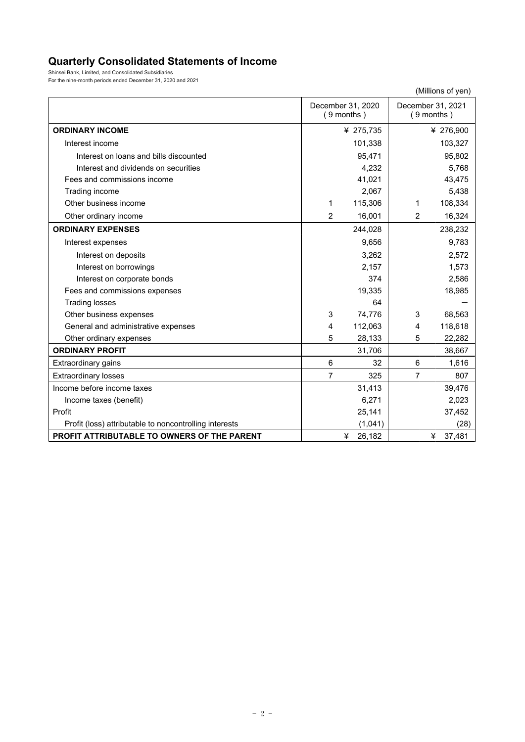# **Quarterly Consolidated Statements of Income**

Shinsei Bank, Limited, and Consolidated Subsidiaries For the nine-month periods ended December 31, 2020 and 2021

|                                                        |                |                                   |                | (Millions of yen)                 |
|--------------------------------------------------------|----------------|-----------------------------------|----------------|-----------------------------------|
|                                                        |                | December 31, 2020<br>$(9$ months) |                | December 31, 2021<br>$(9$ months) |
| <b>ORDINARY INCOME</b>                                 |                | ¥ 275,735                         |                | ¥ 276,900                         |
| Interest income                                        |                | 101,338                           |                | 103,327                           |
| Interest on loans and bills discounted                 |                | 95,471                            |                | 95,802                            |
| Interest and dividends on securities                   |                | 4,232                             |                | 5,768                             |
| Fees and commissions income                            |                | 41,021                            |                | 43,475                            |
| Trading income                                         |                | 2,067                             |                | 5,438                             |
| Other business income                                  | 1              | 115,306                           | 1              | 108,334                           |
| Other ordinary income                                  | $\overline{2}$ | 16,001                            | 2              | 16,324                            |
| <b>ORDINARY EXPENSES</b>                               |                | 244,028                           |                | 238,232                           |
| Interest expenses                                      |                | 9,656                             |                | 9,783                             |
| Interest on deposits                                   |                | 3,262                             |                | 2,572                             |
| Interest on borrowings                                 |                | 2,157                             |                | 1,573                             |
| Interest on corporate bonds                            |                | 374                               |                | 2,586                             |
| Fees and commissions expenses                          |                | 19,335                            |                | 18,985                            |
| <b>Trading losses</b>                                  |                | 64                                |                |                                   |
| Other business expenses                                | 3              | 74,776                            | 3              | 68,563                            |
| General and administrative expenses                    | $\overline{4}$ | 112,063                           | 4              | 118,618                           |
| Other ordinary expenses                                | 5              | 28,133                            | 5              | 22,282                            |
| <b>ORDINARY PROFIT</b>                                 |                | 31,706                            |                | 38,667                            |
| Extraordinary gains                                    | 6              | 32                                | 6              | 1,616                             |
| <b>Extraordinary losses</b>                            | 7              | 325                               | $\overline{7}$ | 807                               |
| Income before income taxes                             |                | 31,413                            |                | 39,476                            |
| Income taxes (benefit)                                 |                | 6,271                             |                | 2,023                             |
| Profit                                                 |                | 25,141                            |                | 37,452                            |
| Profit (loss) attributable to noncontrolling interests |                | (1,041)                           |                | (28)                              |
| PROFIT ATTRIBUTABLE TO OWNERS OF THE PARENT            |                | 26,182<br>¥                       |                | 37,481<br>¥                       |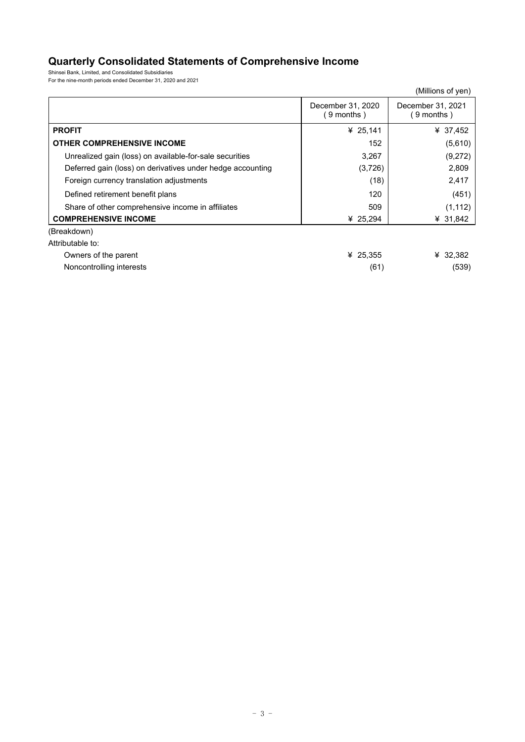# **Quarterly Consolidated Statements of Comprehensive Income**

Shinsei Bank, Limited, and Consolidated Subsidiaries For the nine-month periods ended December 31, 2020 and 2021

|                                                            |                                | (Millions of yen)              |
|------------------------------------------------------------|--------------------------------|--------------------------------|
|                                                            | December 31, 2020<br>9 months) | December 31, 2021<br>9 months) |
| <b>PROFIT</b>                                              | ¥ 25,141                       | ¥ 37,452                       |
| <b>OTHER COMPREHENSIVE INCOME</b>                          | 152                            | (5,610)                        |
| Unrealized gain (loss) on available-for-sale securities    | 3,267                          | (9,272)                        |
| Deferred gain (loss) on derivatives under hedge accounting | (3,726)                        | 2,809                          |
| Foreign currency translation adjustments                   | (18)                           | 2,417                          |
| Defined retirement benefit plans                           | 120                            | (451)                          |
| Share of other comprehensive income in affiliates          | 509                            | (1, 112)                       |
| <b>COMPREHENSIVE INCOME</b>                                | ¥ $25,294$                     | ¥ 31,842                       |
| (Breakdown)                                                |                                |                                |
| Attributable to:                                           |                                |                                |
| Owners of the parent                                       | ¥ 25,355                       | ¥ 32,382                       |

Noncontrolling interests (61) (539)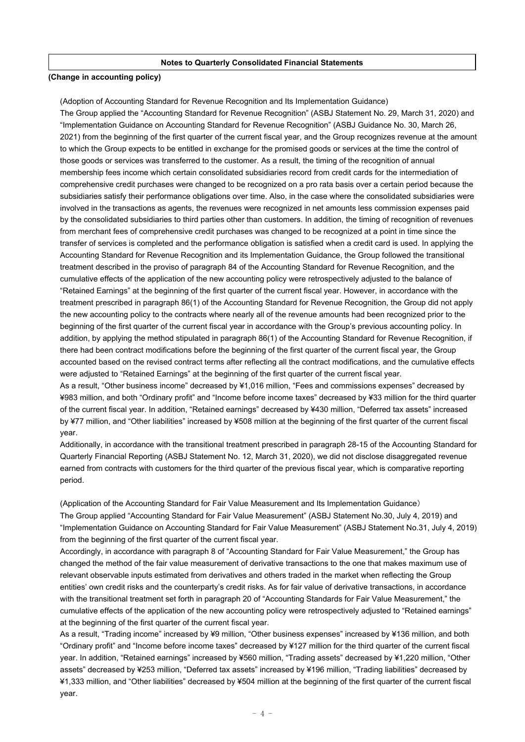#### **Notes to Quarterly Consolidated Financial Statements**

#### **(Change in accounting policy)**

(Adoption of Accounting Standard for Revenue Recognition and Its Implementation Guidance)

The Group applied the "Accounting Standard for Revenue Recognition" (ASBJ Statement No. 29, March 31, 2020) and "Implementation Guidance on Accounting Standard for Revenue Recognition" (ASBJ Guidance No. 30, March 26, 2021) from the beginning of the first quarter of the current fiscal year, and the Group recognizes revenue at the amount to which the Group expects to be entitled in exchange for the promised goods or services at the time the control of those goods or services was transferred to the customer. As a result, the timing of the recognition of annual membership fees income which certain consolidated subsidiaries record from credit cards for the intermediation of comprehensive credit purchases were changed to be recognized on a pro rata basis over a certain period because the subsidiaries satisfy their performance obligations over time. Also, in the case where the consolidated subsidiaries were involved in the transactions as agents, the revenues were recognized in net amounts less commission expenses paid by the consolidated subsidiaries to third parties other than customers. In addition, the timing of recognition of revenues from merchant fees of comprehensive credit purchases was changed to be recognized at a point in time since the transfer of services is completed and the performance obligation is satisfied when a credit card is used. In applying the Accounting Standard for Revenue Recognition and its Implementation Guidance, the Group followed the transitional treatment described in the proviso of paragraph 84 of the Accounting Standard for Revenue Recognition, and the cumulative effects of the application of the new accounting policy were retrospectively adjusted to the balance of "Retained Earnings" at the beginning of the first quarter of the current fiscal year. However, in accordance with the treatment prescribed in paragraph 86(1) of the Accounting Standard for Revenue Recognition, the Group did not apply the new accounting policy to the contracts where nearly all of the revenue amounts had been recognized prior to the beginning of the first quarter of the current fiscal year in accordance with the Group's previous accounting policy. In addition, by applying the method stipulated in paragraph 86(1) of the Accounting Standard for Revenue Recognition, if there had been contract modifications before the beginning of the first quarter of the current fiscal year, the Group accounted based on the revised contract terms after reflecting all the contract modifications, and the cumulative effects were adjusted to "Retained Earnings" at the beginning of the first quarter of the current fiscal year.

As a result, "Other business income" decreased by ¥1,016 million, "Fees and commissions expenses" decreased by ¥983 million, and both "Ordinary profit" and "Income before income taxes" decreased by ¥33 million for the third quarter of the current fiscal year. In addition, "Retained earnings" decreased by ¥430 million, "Deferred tax assets" increased by ¥77 million, and "Other liabilities" increased by ¥508 million at the beginning of the first quarter of the current fiscal year.

Additionally, in accordance with the transitional treatment prescribed in paragraph 28-15 of the Accounting Standard for Quarterly Financial Reporting (ASBJ Statement No. 12, March 31, 2020), we did not disclose disaggregated revenue earned from contracts with customers for the third quarter of the previous fiscal year, which is comparative reporting period.

(Application of the Accounting Standard for Fair Value Measurement and Its Implementation Guidance) The Group applied "Accounting Standard for Fair Value Measurement" (ASBJ Statement No.30, July 4, 2019) and "Implementation Guidance on Accounting Standard for Fair Value Measurement" (ASBJ Statement No.31, July 4, 2019) from the beginning of the first quarter of the current fiscal year.

Accordingly, in accordance with paragraph 8 of "Accounting Standard for Fair Value Measurement," the Group has changed the method of the fair value measurement of derivative transactions to the one that makes maximum use of relevant observable inputs estimated from derivatives and others traded in the market when reflecting the Group entities' own credit risks and the counterparty's credit risks. As for fair value of derivative transactions, in accordance with the transitional treatment set forth in paragraph 20 of "Accounting Standards for Fair Value Measurement," the cumulative effects of the application of the new accounting policy were retrospectively adjusted to "Retained earnings" at the beginning of the first quarter of the current fiscal year.

As a result, "Trading income" increased by ¥9 million, "Other business expenses" increased by ¥136 million, and both "Ordinary profit" and "Income before income taxes" decreased by ¥127 million for the third quarter of the current fiscal year. In addition, "Retained earnings" increased by ¥560 million, "Trading assets" decreased by ¥1,220 million, "Other assets" decreased by ¥253 million, "Deferred tax assets" increased by ¥196 million, "Trading liabilities" decreased by ¥1,333 million, and "Other liabilities" decreased by ¥504 million at the beginning of the first quarter of the current fiscal year.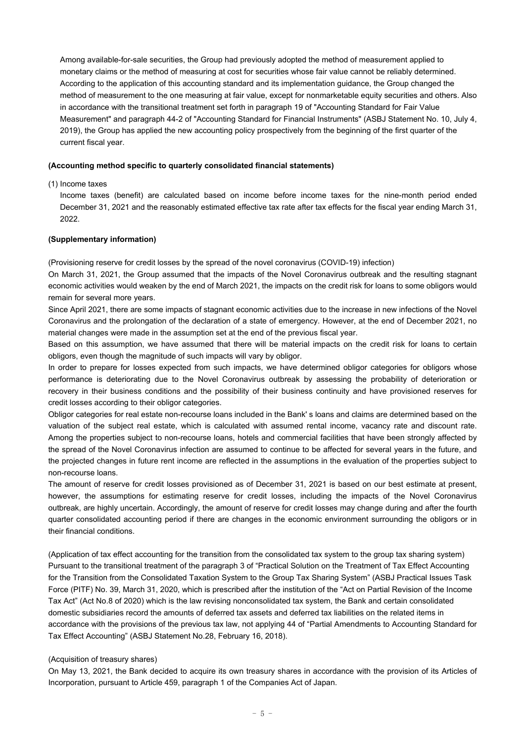Among available-for-sale securities, the Group had previously adopted the method of measurement applied to monetary claims or the method of measuring at cost for securities whose fair value cannot be reliably determined. According to the application of this accounting standard and its implementation guidance, the Group changed the method of measurement to the one measuring at fair value, except for nonmarketable equity securities and others. Also in accordance with the transitional treatment set forth in paragraph 19 of "Accounting Standard for Fair Value Measurement" and paragraph 44-2 of "Accounting Standard for Financial Instruments" (ASBJ Statement No. 10, July 4, 2019), the Group has applied the new accounting policy prospectively from the beginning of the first quarter of the current fiscal year.

#### **(Accounting method specific to quarterly consolidated financial statements)**

(1) Income taxes

Income taxes (benefit) are calculated based on income before income taxes for the nine-month period ended December 31, 2021 and the reasonably estimated effective tax rate after tax effects for the fiscal year ending March 31, 2022.

#### **(Supplementary information)**

(Provisioning reserve for credit losses by the spread of the novel coronavirus (COVID-19) infection)

On March 31, 2021, the Group assumed that the impacts of the Novel Coronavirus outbreak and the resulting stagnant economic activities would weaken by the end of March 2021, the impacts on the credit risk for loans to some obligors would remain for several more years.

Since April 2021, there are some impacts of stagnant economic activities due to the increase in new infections of the Novel Coronavirus and the prolongation of the declaration of a state of emergency. However, at the end of December 2021, no material changes were made in the assumption set at the end of the previous fiscal year.

Based on this assumption, we have assumed that there will be material impacts on the credit risk for loans to certain obligors, even though the magnitude of such impacts will vary by obligor.

In order to prepare for losses expected from such impacts, we have determined obligor categories for obligors whose performance is deteriorating due to the Novel Coronavirus outbreak by assessing the probability of deterioration or recovery in their business conditions and the possibility of their business continuity and have provisioned reserves for credit losses according to their obligor categories.

Obligor categories for real estate non-recourse loans included in the Bank' s loans and claims are determined based on the valuation of the subject real estate, which is calculated with assumed rental income, vacancy rate and discount rate. Among the properties subject to non-recourse loans, hotels and commercial facilities that have been strongly affected by the spread of the Novel Coronavirus infection are assumed to continue to be affected for several years in the future, and the projected changes in future rent income are reflected in the assumptions in the evaluation of the properties subject to non-recourse loans.

The amount of reserve for credit losses provisioned as of December 31, 2021 is based on our best estimate at present, however, the assumptions for estimating reserve for credit losses, including the impacts of the Novel Coronavirus outbreak, are highly uncertain. Accordingly, the amount of reserve for credit losses may change during and after the fourth quarter consolidated accounting period if there are changes in the economic environment surrounding the obligors or in their financial conditions.

(Application of tax effect accounting for the transition from the consolidated tax system to the group tax sharing system) Pursuant to the transitional treatment of the paragraph 3 of "Practical Solution on the Treatment of Tax Effect Accounting for the Transition from the Consolidated Taxation System to the Group Tax Sharing System" (ASBJ Practical Issues Task Force (PITF) No. 39, March 31, 2020, which is prescribed after the institution of the "Act on Partial Revision of the Income Tax Act" (Act No.8 of 2020) which is the law revising nonconsolidated tax system, the Bank and certain consolidated domestic subsidiaries record the amounts of deferred tax assets and deferred tax liabilities on the related items in accordance with the provisions of the previous tax law, not applying 44 of "Partial Amendments to Accounting Standard for Tax Effect Accounting" (ASBJ Statement No.28, February 16, 2018).

#### (Acquisition of treasury shares)

On May 13, 2021, the Bank decided to acquire its own treasury shares in accordance with the provision of its Articles of Incorporation, pursuant to Article 459, paragraph 1 of the Companies Act of Japan.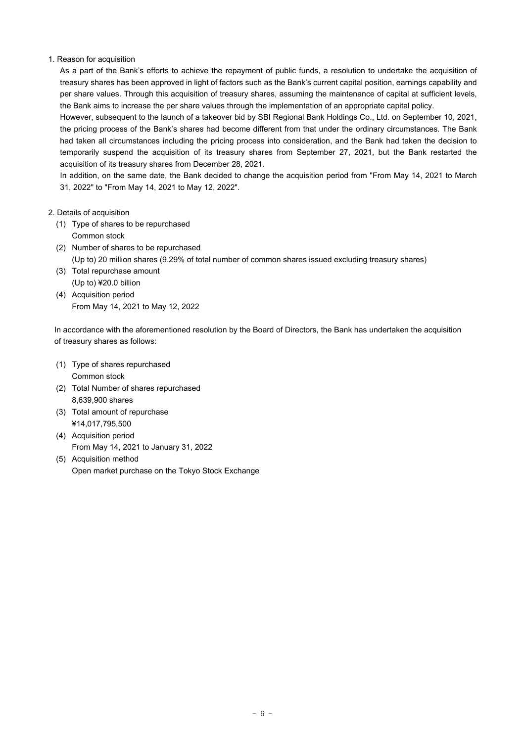## 1. Reason for acquisition

As a part of the Bank's efforts to achieve the repayment of public funds, a resolution to undertake the acquisition of treasury shares has been approved in light of factors such as the Bank's current capital position, earnings capability and per share values. Through this acquisition of treasury shares, assuming the maintenance of capital at sufficient levels, the Bank aims to increase the per share values through the implementation of an appropriate capital policy.

However, subsequent to the launch of a takeover bid by SBI Regional Bank Holdings Co., Ltd. on September 10, 2021, the pricing process of the Bank's shares had become different from that under the ordinary circumstances. The Bank had taken all circumstances including the pricing process into consideration, and the Bank had taken the decision to temporarily suspend the acquisition of its treasury shares from September 27, 2021, but the Bank restarted the acquisition of its treasury shares from December 28, 2021.

In addition, on the same date, the Bank decided to change the acquisition period from "From May 14, 2021 to March 31, 2022" to "From May 14, 2021 to May 12, 2022".

- 2. Details of acquisition
	- (1) Type of shares to be repurchased Common stock
	- (2) Number of shares to be repurchased (Up to) 20 million shares (9.29% of total number of common shares issued excluding treasury shares)
	- (3) Total repurchase amount (Up to) ¥20.0 billion
	- (4) Acquisition period From May 14, 2021 to May 12, 2022

In accordance with the aforementioned resolution by the Board of Directors, the Bank has undertaken the acquisition of treasury shares as follows:

- (1) Type of shares repurchased Common stock
- (2) Total Number of shares repurchased 8,639,900 shares
- (3) Total amount of repurchase ¥14,017,795,500
- (4) Acquisition period From May 14, 2021 to January 31, 2022
- (5) Acquisition method Open market purchase on the Tokyo Stock Exchange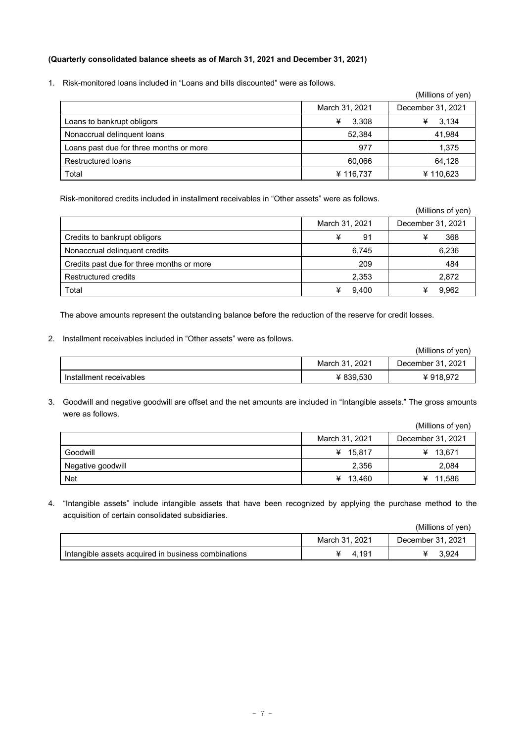## **(Quarterly consolidated balance sheets as of March 31, 2021 and December 31, 2021)**

1. Risk-monitored loans included in "Loans and bills discounted" were as follows.

|                                         |                | (Millions of yen) |
|-----------------------------------------|----------------|-------------------|
|                                         | March 31, 2021 | December 31, 2021 |
| Loans to bankrupt obligors              | ¥<br>3.308     | 3,134             |
| Nonaccrual delinguent loans             | 52.384         | 41,984            |
| Loans past due for three months or more | 977            | 1,375             |
| <b>Restructured loans</b>               | 60,066         | 64,128            |
| Total                                   | ¥ 116,737      | ¥110,623          |

Risk-monitored credits included in installment receivables in "Other assets" were as follows.

|                                           |                | (Millions of yen) |
|-------------------------------------------|----------------|-------------------|
|                                           | March 31, 2021 | December 31, 2021 |
| Credits to bankrupt obligors              | ¥<br>91        | ¥<br>368          |
| Nonaccrual delinguent credits             | 6,745          | 6,236             |
| Credits past due for three months or more | 209            | 484               |
| Restructured credits                      | 2,353          | 2,872             |
| Total                                     | 9.400          | 9,962             |

The above amounts represent the outstanding balance before the reduction of the reserve for credit losses.

2. Installment receivables included in "Other assets" were as follows.

|                         |                | (Millions of ven) |
|-------------------------|----------------|-------------------|
|                         | March 31, 2021 | December 31, 2021 |
| Installment receivables | ¥ 839.530      | ¥918,972          |

3. Goodwill and negative goodwill are offset and the net amounts are included in "Intangible assets." The gross amounts were as follows.

|                   |                | (Millions of yen) |
|-------------------|----------------|-------------------|
|                   | March 31, 2021 | December 31, 2021 |
| Goodwill          | ¥ 15.817       | ¥ 13,671          |
| Negative goodwill | 2.356          | 2,084             |
| <b>Net</b>        | ¥ $13,460$     | ¥ 11,586          |

4. "Intangible assets" include intangible assets that have been recognized by applying the purchase method to the acquisition of certain consolidated subsidiaries.

| (Millions of yen) |
|-------------------|
|-------------------|

|                                                             | $202^t$<br>March 3 | $202^{\circ}$<br>December |
|-------------------------------------------------------------|--------------------|---------------------------|
| $\,$ acquired in business combinations<br>Intangible assets | 191                | 3,924                     |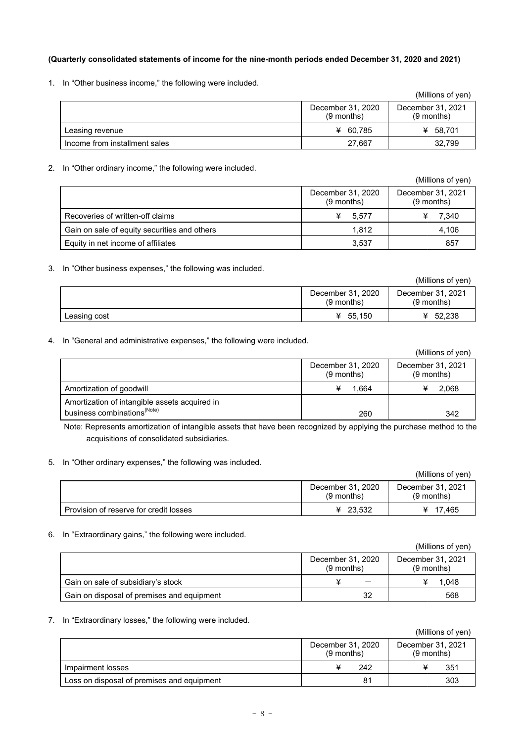## **(Quarterly consolidated statements of income for the nine-month periods ended December 31, 2020 and 2021)**

1. In "Other business income," the following were included.

|                               |                                   | (Millions of yen)                 |
|-------------------------------|-----------------------------------|-----------------------------------|
|                               | December 31, 2020<br>$(9$ months) | December 31, 2021<br>$(9$ months) |
| Leasing revenue               | ¥ 60.785                          | ¥ 58.701                          |
| Income from installment sales | 27.667                            | 32.799                            |

## 2. In "Other ordinary income," the following were included.

|                                              |                                   | (Millions of yen)                 |
|----------------------------------------------|-----------------------------------|-----------------------------------|
|                                              | December 31, 2020<br>$(9$ months) | December 31, 2021<br>$(9$ months) |
| Recoveries of written-off claims             | 5.577                             | 7.340                             |
| Gain on sale of equity securities and others | 1.812                             | 4,106                             |
| Equity in net income of affiliates           | 3,537                             | 857                               |

3. In "Other business expenses," the following was included.

|              |                                   | (Millions of yen)                 |
|--------------|-----------------------------------|-----------------------------------|
|              | December 31, 2020<br>$(9$ months) | December 31, 2021<br>$(9$ months) |
| Leasing cost | 55.150<br>¥                       | ¥ $52.238$                        |

4. In "General and administrative expenses," the following were included.

|                                                                                          |                                   | (Millions of yen)                 |
|------------------------------------------------------------------------------------------|-----------------------------------|-----------------------------------|
|                                                                                          | December 31, 2020<br>$(9$ months) | December 31, 2021<br>$(9$ months) |
| Amortization of goodwill                                                                 | 1.664                             | 2,068                             |
| Amortization of intangible assets acquired in<br>business combinations <sup>(Note)</sup> | 260                               | 342                               |

Note: Represents amortization of intangible assets that have been recognized by applying the purchase method to the acquisitions of consolidated subsidiaries.

5. In "Other ordinary expenses," the following was included.

|                                        |                                   | (Millions of yen)                 |
|----------------------------------------|-----------------------------------|-----------------------------------|
|                                        | December 31, 2020<br>$(9$ months) | December 31, 2021<br>$(9$ months) |
| Provision of reserve for credit losses | ¥ 23,532                          | ¥ 17.465                          |

6. In "Extraordinary gains," the following were included.

|                                            |                                   | (Millions of yen)                 |
|--------------------------------------------|-----------------------------------|-----------------------------------|
|                                            | December 31, 2020<br>$(9$ months) | December 31, 2021<br>$(9$ months) |
| Gain on sale of subsidiary's stock         |                                   | 1.048                             |
| Gain on disposal of premises and equipment | 32                                | 568                               |

7. In "Extraordinary losses," the following were included.

|                                            |                                   |     | (Millions of yen)                 |
|--------------------------------------------|-----------------------------------|-----|-----------------------------------|
|                                            | December 31, 2020<br>$(9$ months) |     | December 31, 2021<br>$(9$ months) |
| Impairment losses                          |                                   | 242 | 351                               |
| Loss on disposal of premises and equipment |                                   | 81  | 303                               |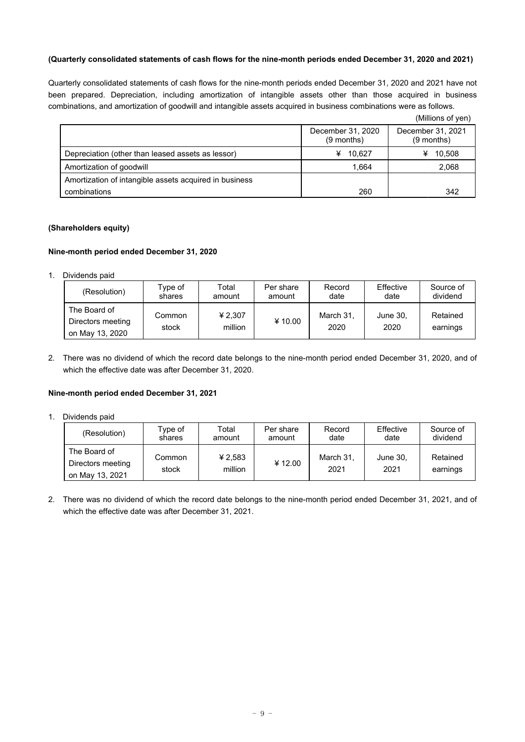#### **(Quarterly consolidated statements of cash flows for the nine-month periods ended December 31, 2020 and 2021)**

Quarterly consolidated statements of cash flows for the nine-month periods ended December 31, 2020 and 2021 have not been prepared. Depreciation, including amortization of intangible assets other than those acquired in business combinations, and amortization of goodwill and intangible assets acquired in business combinations were as follows.

|                                                        |                                   | (Millions of yen)                 |
|--------------------------------------------------------|-----------------------------------|-----------------------------------|
|                                                        | December 31, 2020<br>$(9$ months) | December 31, 2021<br>$(9$ months) |
| Depreciation (other than leased assets as lessor)      | ¥ 10.627                          | 10,508<br>¥                       |
| Amortization of goodwill                               | 1,664                             | 2,068                             |
| Amortization of intangible assets acquired in business |                                   |                                   |
| combinations                                           | 260                               | 342                               |

## **(Shareholders equity)**

#### **Nine-month period ended December 31, 2020**

1. Dividends paid

| (Resolution)                                         | Type of         | Total              | Per share | Record            | Effective        | Source of            |
|------------------------------------------------------|-----------------|--------------------|-----------|-------------------|------------------|----------------------|
|                                                      | shares          | amount             | amount    | date              | date             | dividend             |
| The Board of<br>Directors meeting<br>on May 13, 2020 | Common<br>stock | ¥ 2,307<br>million | ¥10.00    | March 31,<br>2020 | June 30,<br>2020 | Retained<br>earnings |

2. There was no dividend of which the record date belongs to the nine-month period ended December 31, 2020, and of which the effective date was after December 31, 2020.

#### **Nine-month period ended December 31, 2021**

1. Dividends paid

| (Resolution)      | Type of<br>shares | Total<br>amount | Per share<br>amount | Record<br>date    | Effective<br>date | Source of<br>dividend |
|-------------------|-------------------|-----------------|---------------------|-------------------|-------------------|-----------------------|
| The Board of      |                   | ¥ 2,583         |                     |                   |                   | Retained              |
| Directors meeting | Common<br>stock   | million         | ¥12.00              | March 31,<br>2021 | June 30,<br>2021  |                       |
| on May 13, 2021   |                   |                 |                     |                   |                   | earnings              |

2. There was no dividend of which the record date belongs to the nine-month period ended December 31, 2021, and of which the effective date was after December 31, 2021.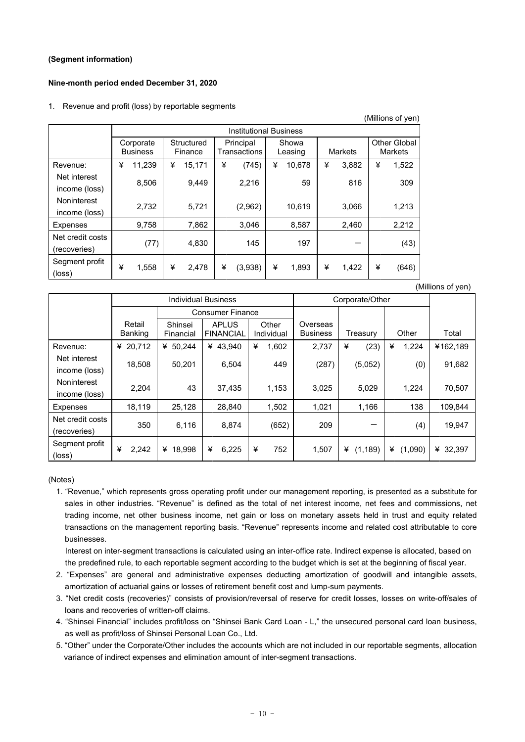## **(Segment information)**

## **Nine-month period ended December 31, 2020**

#### 1. Revenue and profit (loss) by reportable segments

|                                   |   | <b>Institutional Business</b> |   |                       |   |                                               |   |                |   |                                |   |       |
|-----------------------------------|---|-------------------------------|---|-----------------------|---|-----------------------------------------------|---|----------------|---|--------------------------------|---|-------|
|                                   |   | Corporate<br><b>Business</b>  |   | Structured<br>Finance |   | Principal<br>Showa<br>Transactions<br>Leasing |   | <b>Markets</b> |   | <b>Other Global</b><br>Markets |   |       |
| Revenue:                          | ¥ | 11,239                        | ¥ | 15,171                | ¥ | (745)                                         | ¥ | 10.678         | ¥ | 3,882                          | ¥ | 1,522 |
| Net interest<br>income (loss)     |   | 8,506                         |   | 9,449                 |   | 2,216                                         |   | 59             |   | 816                            |   | 309   |
| Noninterest<br>income (loss)      |   | 2,732                         |   | 5,721                 |   | (2,962)                                       |   | 10,619         |   | 3,066                          |   | 1,213 |
| Expenses                          |   | 9,758                         |   | 7,862                 |   | 3,046                                         |   | 8,587          |   | 2,460                          |   | 2,212 |
| Net credit costs<br>(recoveries)  |   | (77)                          |   | 4,830                 |   | 145                                           |   | 197            |   |                                |   | (43)  |
| Segment profit<br>$(\text{loss})$ | ¥ | 1,558                         | ¥ | 2.478                 | ¥ | (3,938)                                       | ¥ | 1.893          | ¥ | 1.422                          | ¥ | (646) |

(Millions of yen)

 $(Millione of von)$ 

|                                  |                   |                      | <b>Individual Business</b>       |                     | Corporate/Other             |               |              |          |
|----------------------------------|-------------------|----------------------|----------------------------------|---------------------|-----------------------------|---------------|--------------|----------|
|                                  |                   |                      | <b>Consumer Finance</b>          |                     |                             |               |              |          |
|                                  | Retail<br>Banking | Shinsei<br>Financial | <b>APLUS</b><br><b>FINANCIAL</b> | Other<br>Individual | Overseas<br><b>Business</b> | Treasury      | Other        | Total    |
| Revenue:                         | ¥ 20.712          | ¥ 50,244             | ¥ 43,940                         | ¥<br>1,602          | 2,737                       | ¥<br>(23)     | ¥<br>1,224   | ¥162,189 |
| Net interest<br>income (loss)    | 18,508            | 50,201               | 6,504                            | 449                 | (287)                       | (5,052)       | (0)          | 91,682   |
| Noninterest<br>income (loss)     | 2,204             | 43                   | 37,435                           | 1,153               | 3,025                       | 5,029         | 1,224        | 70,507   |
| Expenses                         | 18,119            | 25,128               | 28,840                           | 1,502               | 1,021                       | 1,166         | 138          | 109,844  |
| Net credit costs<br>(recoveries) | 350               | 6,116                | 8.874                            | (652)               | 209                         |               | (4)          | 19,947   |
| Segment profit<br>(loss)         | ¥<br>2,242        | ¥<br>18,998          | ¥<br>6,225                       | ¥<br>752            | 1,507                       | (1, 189)<br>¥ | ¥<br>(1,090) | ¥ 32,397 |

(Notes)

1. "Revenue," which represents gross operating profit under our management reporting, is presented as a substitute for sales in other industries. "Revenue" is defined as the total of net interest income, net fees and commissions, net trading income, net other business income, net gain or loss on monetary assets held in trust and equity related transactions on the management reporting basis. "Revenue" represents income and related cost attributable to core businesses.

Interest on inter-segment transactions is calculated using an inter-office rate. Indirect expense is allocated, based on the predefined rule, to each reportable segment according to the budget which is set at the beginning of fiscal year.

- 2. "Expenses" are general and administrative expenses deducting amortization of goodwill and intangible assets, amortization of actuarial gains or losses of retirement benefit cost and lump-sum payments.
- 3. "Net credit costs (recoveries)" consists of provision/reversal of reserve for credit losses, losses on write-off/sales of loans and recoveries of written-off claims.
- 4. "Shinsei Financial" includes profit/loss on "Shinsei Bank Card Loan L," the unsecured personal card loan business, as well as profit/loss of Shinsei Personal Loan Co., Ltd.
- 5. "Other" under the Corporate/Other includes the accounts which are not included in our reportable segments, allocation variance of indirect expenses and elimination amount of inter-segment transactions.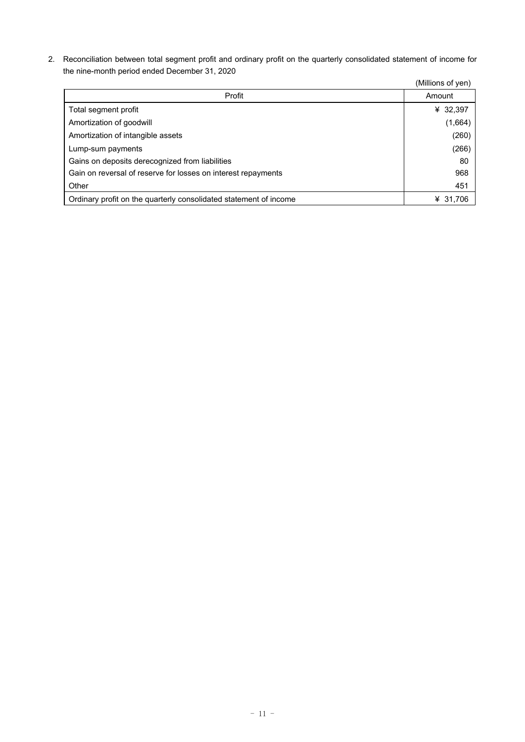2. Reconciliation between total segment profit and ordinary profit on the quarterly consolidated statement of income for the nine-month period ended December 31, 2020

|                                                                   | (Millions of yen) |
|-------------------------------------------------------------------|-------------------|
| Profit                                                            | Amount            |
| Total segment profit                                              | ¥ 32,397          |
| Amortization of goodwill                                          | (1,664)           |
| Amortization of intangible assets                                 | (260)             |
| Lump-sum payments                                                 | (266)             |
| Gains on deposits derecognized from liabilities                   | 80                |
| Gain on reversal of reserve for losses on interest repayments     | 968               |
| Other                                                             | 451               |
| Ordinary profit on the quarterly consolidated statement of income | ¥ 31,706          |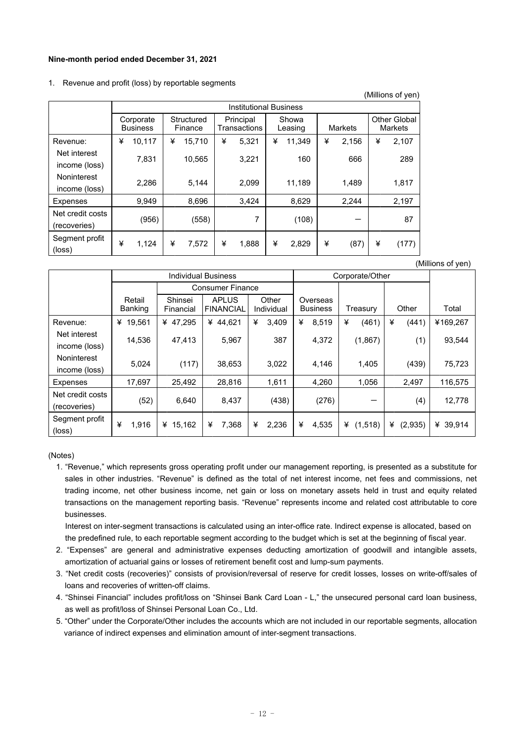#### **Nine-month period ended December 31, 2021**

#### 1. Revenue and profit (loss) by reportable segments

|                                  |   |                               |   |                       |   |                           |   |                  |   |         |   | (Millions of yen)              |
|----------------------------------|---|-------------------------------|---|-----------------------|---|---------------------------|---|------------------|---|---------|---|--------------------------------|
|                                  |   | <b>Institutional Business</b> |   |                       |   |                           |   |                  |   |         |   |                                |
|                                  |   | Corporate<br><b>Business</b>  |   | Structured<br>Finance |   | Principal<br>Transactions |   | Showa<br>Leasing |   | Markets |   | <b>Other Global</b><br>Markets |
| Revenue:                         | ¥ | 10,117                        | ¥ | 15,710                | ¥ | 5,321                     | ¥ | 11,349           | ¥ | 2,156   | ¥ | 2,107                          |
| Net interest<br>income (loss)    |   | 7,831                         |   | 10,565                |   | 3,221                     |   | 160              |   | 666     |   | 289                            |
| Noninterest<br>income (loss)     |   | 2,286                         |   | 5,144                 |   | 2,099                     |   | 11,189           |   | 1,489   |   | 1,817                          |
| <b>Expenses</b>                  |   | 9,949                         |   | 8,696                 |   | 3,424                     |   | 8,629            |   | 2,244   |   | 2,197                          |
| Net credit costs<br>(recoveries) |   | (956)                         |   | (558)                 |   | 7                         |   | (108)            |   |         |   | 87                             |
| Segment profit<br>(loss)         | ¥ | 1,124                         | ¥ | 7,572                 | ¥ | 1,888                     | ¥ | 2,829            | ¥ | (87)    | ¥ | (177)                          |

(Millions of yen)

|                                     |                   |                      | <b>Individual Business</b>       |                     | Corporate/Other             |              |              |             |
|-------------------------------------|-------------------|----------------------|----------------------------------|---------------------|-----------------------------|--------------|--------------|-------------|
|                                     |                   |                      | <b>Consumer Finance</b>          |                     |                             |              |              |             |
|                                     | Retail<br>Banking | Shinsei<br>Financial | <b>APLUS</b><br><b>FINANCIAL</b> | Other<br>Individual | Overseas<br><b>Business</b> | Treasury     | Other        | Total       |
| Revenue:                            | 19.561<br>¥       | ¥ 47,295             | ¥ 44,621                         | ¥<br>3,409          | ¥<br>8,519                  | ¥<br>(461)   | ¥<br>(441)   | ¥169,267    |
| Net interest<br>income (loss)       | 14,536            | 47,413               | 5,967                            | 387                 | 4,372                       | (1,867)      | (1)          | 93,544      |
| <b>Noninterest</b><br>income (loss) | 5,024             | (117)                | 38,653                           | 3,022               | 4,146                       | 1,405        | (439)        | 75,723      |
| Expenses                            | 17,697            | 25,492               | 28,816                           | 1,611               | 4,260                       | 1,056        | 2,497        | 116,575     |
| Net credit costs<br>(recoveries)    | (52)              | 6,640                | 8,437                            | (438)               | (276)                       |              | (4)          | 12,778      |
| Segment profit<br>$(\text{loss})$   | ¥<br>1,916        | 15,162<br>¥          | 7,368<br>¥                       | ¥<br>2,236          | ¥<br>4,535                  | ¥<br>(1,518) | ¥<br>(2,935) | ¥<br>39,914 |

#### (Notes)

1. "Revenue," which represents gross operating profit under our management reporting, is presented as a substitute for sales in other industries. "Revenue" is defined as the total of net interest income, net fees and commissions, net trading income, net other business income, net gain or loss on monetary assets held in trust and equity related transactions on the management reporting basis. "Revenue" represents income and related cost attributable to core businesses.

Interest on inter-segment transactions is calculated using an inter-office rate. Indirect expense is allocated, based on the predefined rule, to each reportable segment according to the budget which is set at the beginning of fiscal year.

- 2. "Expenses" are general and administrative expenses deducting amortization of goodwill and intangible assets, amortization of actuarial gains or losses of retirement benefit cost and lump-sum payments.
- 3. "Net credit costs (recoveries)" consists of provision/reversal of reserve for credit losses, losses on write-off/sales of loans and recoveries of written-off claims.
- 4. "Shinsei Financial" includes profit/loss on "Shinsei Bank Card Loan L," the unsecured personal card loan business, as well as profit/loss of Shinsei Personal Loan Co., Ltd.
- 5. "Other" under the Corporate/Other includes the accounts which are not included in our reportable segments, allocation variance of indirect expenses and elimination amount of inter-segment transactions.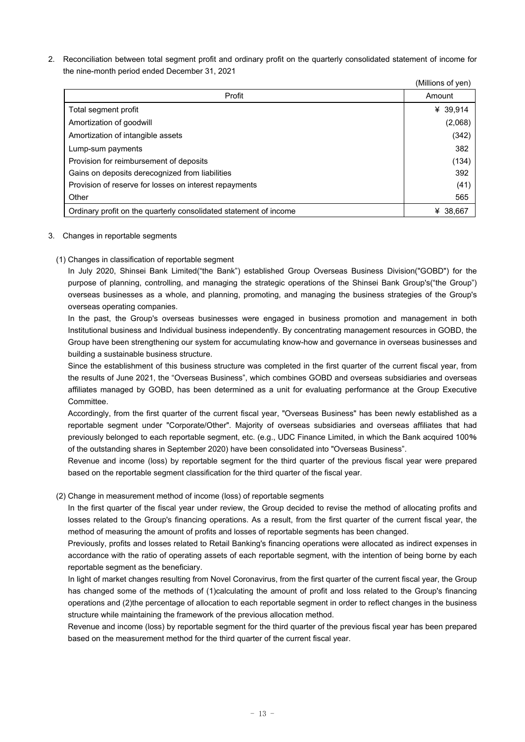2. Reconciliation between total segment profit and ordinary profit on the quarterly consolidated statement of income for the nine-month period ended December 31, 2021

|                                                                   | (Millions of yen) |
|-------------------------------------------------------------------|-------------------|
| Profit                                                            | Amount            |
| Total segment profit                                              | ¥ 39,914          |
| Amortization of goodwill                                          | (2,068)           |
| Amortization of intangible assets                                 | (342)             |
| Lump-sum payments                                                 | 382               |
| Provision for reimbursement of deposits                           | (134)             |
| Gains on deposits derecognized from liabilities                   | 392               |
| Provision of reserve for losses on interest repayments            | (41)              |
| Other                                                             | 565               |
| Ordinary profit on the quarterly consolidated statement of income | ¥ 38.667          |

## 3. Changes in reportable segments

## (1) Changes in classification of reportable segment

In July 2020, Shinsei Bank Limited("the Bank") established Group Overseas Business Division("GOBD") for the purpose of planning, controlling, and managing the strategic operations of the Shinsei Bank Group's("the Group") overseas businesses as a whole, and planning, promoting, and managing the business strategies of the Group's overseas operating companies.

In the past, the Group's overseas businesses were engaged in business promotion and management in both Institutional business and Individual business independently. By concentrating management resources in GOBD, the Group have been strengthening our system for accumulating know-how and governance in overseas businesses and building a sustainable business structure.

Since the establishment of this business structure was completed in the first quarter of the current fiscal year, from the results of June 2021, the "Overseas Business", which combines GOBD and overseas subsidiaries and overseas affiliates managed by GOBD, has been determined as a unit for evaluating performance at the Group Executive Committee.

Accordingly, from the first quarter of the current fiscal year, "Overseas Business" has been newly established as a reportable segment under "Corporate/Other". Majority of overseas subsidiaries and overseas affiliates that had previously belonged to each reportable segment, etc. (e.g., UDC Finance Limited, in which the Bank acquired 100% of the outstanding shares in September 2020) have been consolidated into "Overseas Business".

Revenue and income (loss) by reportable segment for the third quarter of the previous fiscal year were prepared based on the reportable segment classification for the third quarter of the fiscal year.

## (2) Change in measurement method of income (loss) of reportable segments

In the first quarter of the fiscal year under review, the Group decided to revise the method of allocating profits and losses related to the Group's financing operations. As a result, from the first quarter of the current fiscal year, the method of measuring the amount of profits and losses of reportable segments has been changed.

Previously, profits and losses related to Retail Banking's financing operations were allocated as indirect expenses in accordance with the ratio of operating assets of each reportable segment, with the intention of being borne by each reportable segment as the beneficiary.

In light of market changes resulting from Novel Coronavirus, from the first quarter of the current fiscal year, the Group has changed some of the methods of (1)calculating the amount of profit and loss related to the Group's financing operations and (2)the percentage of allocation to each reportable segment in order to reflect changes in the business structure while maintaining the framework of the previous allocation method.

Revenue and income (loss) by reportable segment for the third quarter of the previous fiscal year has been prepared based on the measurement method for the third quarter of the current fiscal year.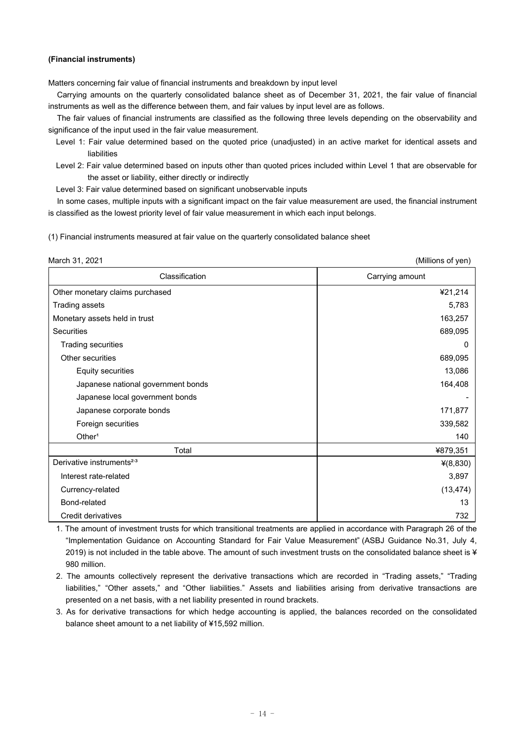#### **(Financial instruments)**

Matters concerning fair value of financial instruments and breakdown by input level

 Carrying amounts on the quarterly consolidated balance sheet as of December 31, 2021, the fair value of financial instruments as well as the difference between them, and fair values by input level are as follows.

 The fair values of financial instruments are classified as the following three levels depending on the observability and significance of the input used in the fair value measurement.

Level 1: Fair value determined based on the quoted price (unadjusted) in an active market for identical assets and liabilities

Level 2: Fair value determined based on inputs other than quoted prices included within Level 1 that are observable for the asset or liability, either directly or indirectly

Level 3: Fair value determined based on significant unobservable inputs

In some cases, multiple inputs with a significant impact on the fair value measurement are used, the financial instrument is classified as the lowest priority level of fair value measurement in which each input belongs.

(1) Financial instruments measured at fair value on the quarterly consolidated balance sheet

| March 31, 2021                        | (Millions of yen) |
|---------------------------------------|-------------------|
| Classification                        | Carrying amount   |
| Other monetary claims purchased       | ¥21,214           |
| Trading assets                        | 5,783             |
| Monetary assets held in trust         | 163,257           |
| Securities                            | 689,095           |
| Trading securities                    | O                 |
| Other securities                      | 689,095           |
| <b>Equity securities</b>              | 13,086            |
| Japanese national government bonds    | 164,408           |
| Japanese local government bonds       |                   |
| Japanese corporate bonds              | 171,877           |
| Foreign securities                    | 339,582           |
| Other <sup>1</sup>                    | 140               |
| Total                                 | ¥879,351          |
| Derivative instruments <sup>2,3</sup> | $*(8, 830)$       |
| Interest rate-related                 | 3,897             |
| Currency-related                      | (13, 474)         |
| Bond-related                          | 13                |
| Credit derivatives                    | 732               |

1. The amount of investment trusts for which transitional treatments are applied in accordance with Paragraph 26 of the "Implementation Guidance on Accounting Standard for Fair Value Measurement" (ASBJ Guidance No.31, July 4, 2019) is not included in the table above. The amount of such investment trusts on the consolidated balance sheet is ¥ 980 million.

- 2. The amounts collectively represent the derivative transactions which are recorded in "Trading assets," "Trading liabilities," "Other assets," and "Other liabilities." Assets and liabilities arising from derivative transactions are presented on a net basis, with a net liability presented in round brackets.
- 3. As for derivative transactions for which hedge accounting is applied, the balances recorded on the consolidated balance sheet amount to a net liability of ¥15,592 million.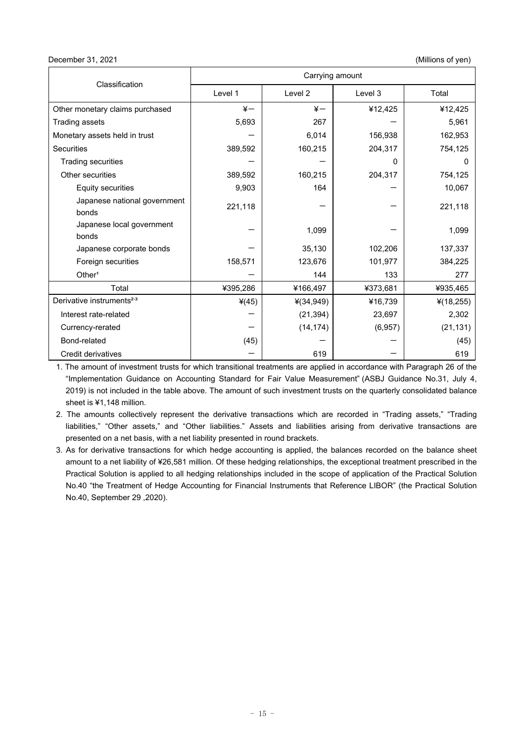December 31, 2021 (Millions of yen)

| Classification                        | Carrying amount |                    |          |              |
|---------------------------------------|-----------------|--------------------|----------|--------------|
|                                       | Level 1         | Level <sub>2</sub> | Level 3  | Total        |
| Other monetary claims purchased       | $\frac{1}{2}$   | $\frac{1}{2}$      | ¥12,425  | ¥12,425      |
| <b>Trading assets</b>                 | 5,693           | 267                |          | 5,961        |
| Monetary assets held in trust         |                 | 6,014              | 156,938  | 162,953      |
| <b>Securities</b>                     | 389,592         | 160,215            | 204,317  | 754,125      |
| <b>Trading securities</b>             |                 |                    | 0        | 0            |
| Other securities                      | 389,592         | 160,215            | 204,317  | 754,125      |
| Equity securities                     | 9,903           | 164                |          | 10,067       |
| Japanese national government<br>bonds | 221,118         |                    |          | 221,118      |
| Japanese local government<br>bonds    |                 | 1,099              |          | 1,099        |
| Japanese corporate bonds              |                 | 35,130             | 102,206  | 137,337      |
| Foreign securities                    | 158,571         | 123,676            | 101,977  | 384,225      |
| Other <sup>1</sup>                    |                 | 144                | 133      | 277          |
| Total                                 | ¥395,286        | ¥166,497           | ¥373,681 | ¥935,465     |
| Derivative instruments <sup>2,3</sup> | $*(45)$         | $*(34,949)$        | ¥16,739  | $*(18, 255)$ |
| Interest rate-related                 |                 | (21, 394)          | 23,697   | 2,302        |
| Currency-rerated                      |                 | (14, 174)          | (6,957)  | (21, 131)    |
| Bond-related                          | (45)            |                    |          | (45)         |
| Credit derivatives                    |                 | 619                |          | 619          |

1. The amount of investment trusts for which transitional treatments are applied in accordance with Paragraph 26 of the "Implementation Guidance on Accounting Standard for Fair Value Measurement" (ASBJ Guidance No.31, July 4, 2019) is not included in the table above. The amount of such investment trusts on the quarterly consolidated balance sheet is ¥1,148 million.

2. The amounts collectively represent the derivative transactions which are recorded in "Trading assets," "Trading liabilities," "Other assets," and "Other liabilities." Assets and liabilities arising from derivative transactions are presented on a net basis, with a net liability presented in round brackets.

3. As for derivative transactions for which hedge accounting is applied, the balances recorded on the balance sheet amount to a net liability of ¥26,581 million. Of these hedging relationships, the exceptional treatment prescribed in the Practical Solution is applied to all hedging relationships included in the scope of application of the Practical Solution No.40 "the Treatment of Hedge Accounting for Financial Instruments that Reference LIBOR" (the Practical Solution No.40, September 29 ,2020).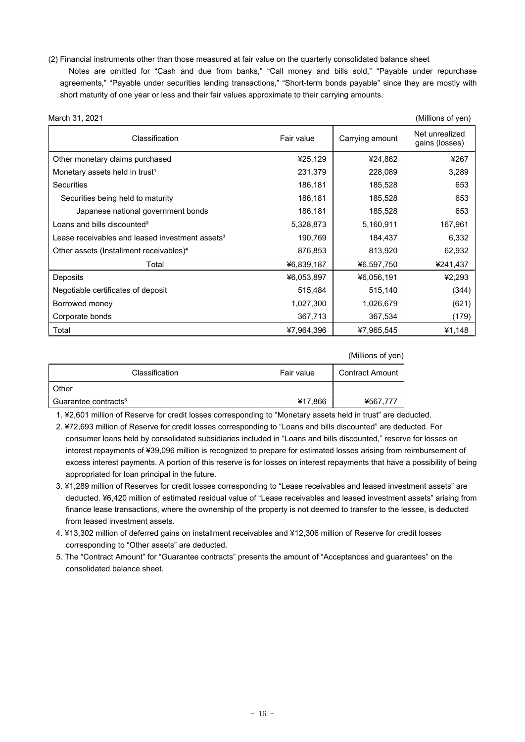- (2) Financial instruments other than those measured at fair value on the quarterly consolidated balance sheet
- Notes are omitted for "Cash and due from banks," "Call money and bills sold," "Payable under repurchase agreements," "Payable under securities lending transactions," "Short-term bonds payable" since they are mostly with short maturity of one year or less and their fair values approximate to their carrying amounts.

| March 31, 2021                                              |            |                 | (Millions of yen)                |
|-------------------------------------------------------------|------------|-----------------|----------------------------------|
| Classification                                              | Fair value | Carrying amount | Net unrealized<br>gains (losses) |
| Other monetary claims purchased                             | ¥25,129    | ¥24,862         | ¥267                             |
| Monetary assets held in trust <sup>1</sup>                  | 231,379    | 228,089         | 3,289                            |
| <b>Securities</b>                                           | 186,181    | 185,528         | 653                              |
| Securities being held to maturity                           | 186,181    | 185,528         | 653                              |
| Japanese national government bonds                          | 186,181    | 185,528         | 653                              |
| Loans and bills discounted <sup>2</sup>                     | 5,328,873  | 5,160,911       | 167,961                          |
| Lease receivables and leased investment assets <sup>3</sup> | 190,769    | 184,437         | 6,332                            |
| Other assets (Installment receivables) <sup>4</sup>         | 876,853    | 813,920         | 62,932                           |
| Total                                                       | ¥6,839,187 | ¥6,597,750      | ¥241,437                         |
| Deposits                                                    | ¥6,053,897 | ¥6,056,191      | ¥2,293                           |
| Negotiable certificates of deposit                          | 515,484    | 515,140         | (344)                            |
| Borrowed money                                              | 1,027,300  | 1,026,679       | (621)                            |
| Corporate bonds                                             | 367,713    | 367,534         | (179)                            |
| Total                                                       | ¥7,964,396 | ¥7,965,545      | ¥1,148                           |

#### (Millions of yen)

| Classification                   | Fair value | Contract Amount |
|----------------------------------|------------|-----------------|
| Other                            |            |                 |
| Guarantee contracts <sup>5</sup> | ¥17,866    | ¥567,777        |

1. ¥2,601 million of Reserve for credit losses corresponding to "Monetary assets held in trust" are deducted.

- 2. ¥72,693 million of Reserve for credit losses corresponding to "Loans and bills discounted" are deducted. For consumer loans held by consolidated subsidiaries included in "Loans and bills discounted," reserve for losses on interest repayments of ¥39,096 million is recognized to prepare for estimated losses arising from reimbursement of excess interest payments. A portion of this reserve is for losses on interest repayments that have a possibility of being appropriated for loan principal in the future.
- 3. ¥1,289 million of Reserves for credit losses corresponding to "Lease receivables and leased investment assets" are deducted. ¥6,420 million of estimated residual value of "Lease receivables and leased investment assets" arising from finance lease transactions, where the ownership of the property is not deemed to transfer to the lessee, is deducted from leased investment assets.
- 4. ¥13,302 million of deferred gains on installment receivables and ¥12,306 million of Reserve for credit losses corresponding to "Other assets" are deducted.
- 5. The "Contract Amount" for "Guarantee contracts" presents the amount of "Acceptances and guarantees" on the consolidated balance sheet.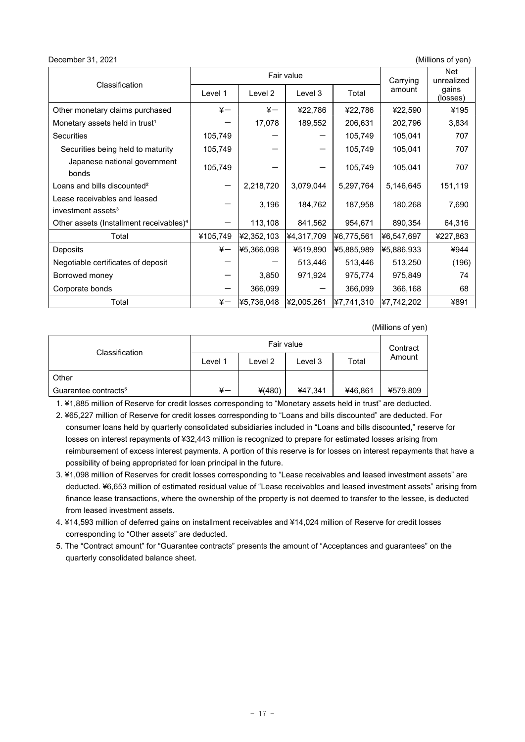#### December 31, 2021 (Millions of yen)

| Classification                                                 | Fair value    |            |            | Carrying   |            |                   | Net<br>unrealized |
|----------------------------------------------------------------|---------------|------------|------------|------------|------------|-------------------|-------------------|
|                                                                | Level 1       | Level 2    | Level 3    | Total      | amount     | qains<br>(losses) |                   |
| Other monetary claims purchased                                | $\frac{1}{2}$ | $\ddot{x}$ | ¥22,786    | ¥22,786    | ¥22,590    | ¥195              |                   |
| Monetary assets held in trust <sup>1</sup>                     |               | 17,078     | 189,552    | 206,631    | 202,796    | 3,834             |                   |
| <b>Securities</b>                                              | 105,749       |            |            | 105,749    | 105,041    | 707               |                   |
| Securities being held to maturity                              | 105,749       |            |            | 105,749    | 105,041    | 707               |                   |
| Japanese national government<br>bonds                          | 105,749       |            |            | 105,749    | 105,041    | 707               |                   |
| Loans and bills discounted <sup>2</sup>                        |               | 2,218,720  | 3,079,044  | 5,297,764  | 5,146,645  | 151,119           |                   |
| Lease receivables and leased<br>investment assets <sup>3</sup> |               | 3,196      | 184,762    | 187,958    | 180,268    | 7,690             |                   |
| Other assets (Installment receivables) <sup>4</sup>            |               | 113,108    | 841,562    | 954,671    | 890,354    | 64,316            |                   |
| Total                                                          | ¥105,749      | ¥2,352,103 | ¥4,317,709 | ¥6,775,561 | ¥6,547,697 | ¥227,863          |                   |
| Deposits                                                       | $\frac{1}{2}$ | ¥5,366,098 | ¥519,890   | ¥5.885.989 | ¥5,886,933 | ¥944              |                   |
| Negotiable certificates of deposit                             |               |            | 513,446    | 513,446    | 513,250    | (196)             |                   |
| Borrowed money                                                 |               | 3,850      | 971,924    | 975,774    | 975,849    | 74                |                   |
| Corporate bonds                                                |               | 366,099    |            | 366,099    | 366,168    | 68                |                   |
| Total                                                          | $\frac{1}{2}$ | ¥5,736,048 | ¥2,005,261 | ¥7,741,310 | ¥7,742,202 | ¥891              |                   |

(Millions of yen)

|                                  | Fair value |          |         |         | Contract |
|----------------------------------|------------|----------|---------|---------|----------|
| Classification                   | Level 1    | Level 2  | Level 3 | Total   | Amount   |
| Other                            |            |          |         |         |          |
| Guarantee contracts <sup>5</sup> | ¥—         | $*(480)$ | ¥47,341 | ¥46,861 | ¥579,809 |

1. ¥1,885 million of Reserve for credit losses corresponding to "Monetary assets held in trust" are deducted.

- 2. ¥65,227 million of Reserve for credit losses corresponding to "Loans and bills discounted" are deducted. For consumer loans held by quarterly consolidated subsidiaries included in "Loans and bills discounted," reserve for losses on interest repayments of ¥32,443 million is recognized to prepare for estimated losses arising from reimbursement of excess interest payments. A portion of this reserve is for losses on interest repayments that have a possibility of being appropriated for loan principal in the future.
- 3. ¥1,098 million of Reserves for credit losses corresponding to "Lease receivables and leased investment assets" are deducted. ¥6,653 million of estimated residual value of "Lease receivables and leased investment assets" arising from finance lease transactions, where the ownership of the property is not deemed to transfer to the lessee, is deducted from leased investment assets.
- 4. ¥14,593 million of deferred gains on installment receivables and ¥14,024 million of Reserve for credit losses corresponding to "Other assets" are deducted.
- 5. The "Contract amount" for "Guarantee contracts" presents the amount of "Acceptances and guarantees" on the quarterly consolidated balance sheet.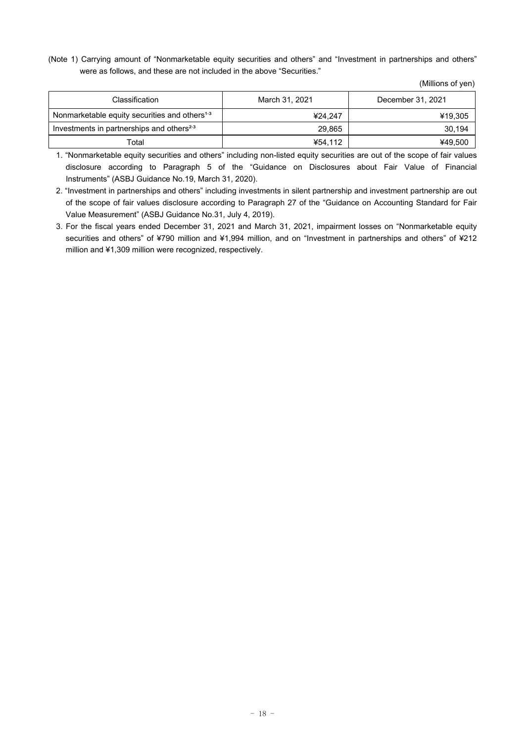(Note 1) Carrying amount of "Nonmarketable equity securities and others" and "Investment in partnerships and others" were as follows, and these are not included in the above "Securities."

| Classification                                            | March 31, 2021 | December 31, 2021 |
|-----------------------------------------------------------|----------------|-------------------|
| Nonmarketable equity securities and others <sup>1,3</sup> | ¥24.247        | ¥19,305           |
| Investments in partnerships and others <sup>2,3</sup>     | 29.865         | 30,194            |
| Total                                                     | ¥54.112        | ¥49,500           |

1. "Nonmarketable equity securities and others" including non-listed equity securities are out of the scope of fair values disclosure according to Paragraph 5 of the "Guidance on Disclosures about Fair Value of Financial Instruments" (ASBJ Guidance No.19, March 31, 2020).

2. "Investment in partnerships and others" including investments in silent partnership and investment partnership are out of the scope of fair values disclosure according to Paragraph 27 of the "Guidance on Accounting Standard for Fair Value Measurement" (ASBJ Guidance No.31, July 4, 2019).

3. For the fiscal years ended December 31, 2021 and March 31, 2021, impairment losses on "Nonmarketable equity securities and others" of ¥790 million and ¥1,994 million, and on "Investment in partnerships and others" of ¥212 million and ¥1,309 million were recognized, respectively.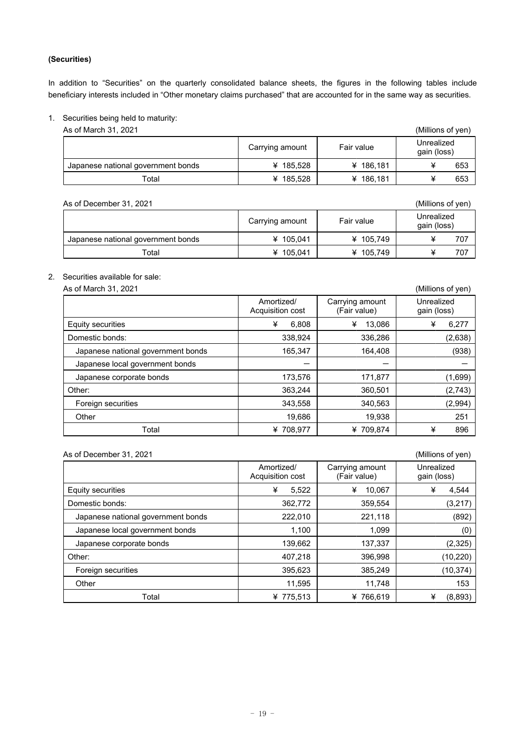## **(Securities)**

In addition to "Securities" on the quarterly consolidated balance sheets, the figures in the following tables include beneficiary interests included in "Other monetary claims purchased" that are accounted for in the same way as securities.

## 1. Securities being held to maturity:

As of March 31, 2021 (Millions of yen)

|                                    | Carrying amount | Fair value | Unrealized<br>gain (loss) |
|------------------------------------|-----------------|------------|---------------------------|
| Japanese national government bonds | ¥ 185.528       | ¥ 186.181  | 653                       |
| Total                              | ¥ 185,528       | ¥ 186,181  | 653                       |

| As of December 31, 2021            |                 |            | (Millions of yen)         |
|------------------------------------|-----------------|------------|---------------------------|
|                                    | Carrying amount | Fair value | Unrealized<br>gain (loss) |
| Japanese national government bonds | ¥ 105,041       | ¥ 105,749  | 707                       |
| $\tau$ otal                        | ¥ 105,041       | ¥ 105,749  | 707                       |

## 2. Securities available for sale:

As of March 31, 2021 (Millions of yen)

|                                    | Amortized/<br>Acquisition cost | Carrying amount<br>(Fair value) | Unrealized<br>gain (loss) |
|------------------------------------|--------------------------------|---------------------------------|---------------------------|
| Equity securities                  | ¥<br>6,808                     | ¥<br>13,086                     | ¥<br>6,277                |
| Domestic bonds:                    | 338,924                        | 336,286                         | (2,638)                   |
| Japanese national government bonds | 165,347                        | 164,408                         | (938)                     |
| Japanese local government bonds    |                                |                                 |                           |
| Japanese corporate bonds           | 173,576                        | 171,877                         | (1,699)                   |
| Other:                             | 363,244                        | 360,501                         | (2,743)                   |
| Foreign securities                 | 343,558                        | 340,563                         | (2,994)                   |
| Other                              | 19,686                         | 19,938                          | 251                       |
| Total                              | 708.977<br>¥                   | ¥709.874                        | ¥<br>896                  |

## As of December 31, 2021 (Millions of yen)

| <b>19 OF DOODITING FOR LIST</b>    |                                |                                 | וויט א וט שוויוויוויוויוו |
|------------------------------------|--------------------------------|---------------------------------|---------------------------|
|                                    | Amortized/<br>Acquisition cost | Carrying amount<br>(Fair value) | Unrealized<br>gain (loss) |
| Equity securities                  | ¥<br>5,522                     | ¥<br>10,067                     | ¥<br>4,544                |
| Domestic bonds:                    | 362,772                        | 359,554                         | (3,217)                   |
| Japanese national government bonds | 222,010                        | 221,118                         | (892)                     |
| Japanese local government bonds    | 1,100                          | 1.099                           | (0)                       |
| Japanese corporate bonds           | 139,662                        | 137,337                         | (2,325)                   |
| Other:                             | 407,218                        | 396,998                         | (10, 220)                 |
| Foreign securities                 | 395,623                        | 385,249                         | (10, 374)                 |
| Other                              | 11,595                         | 11,748                          | 153                       |
| Total                              | ¥ 775,513                      | ¥766,619                        | ¥<br>(8,893)              |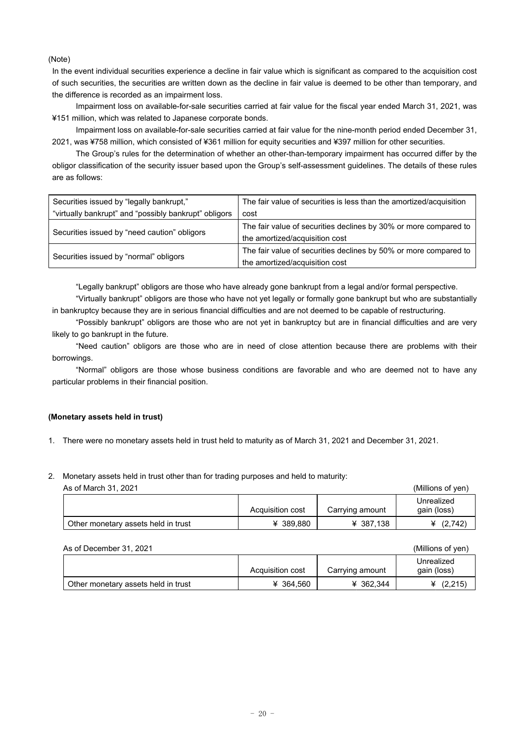(Note)

In the event individual securities experience a decline in fair value which is significant as compared to the acquisition cost of such securities, the securities are written down as the decline in fair value is deemed to be other than temporary, and the difference is recorded as an impairment loss.

Impairment loss on available-for-sale securities carried at fair value for the fiscal year ended March 31, 2021, was ¥151 million, which was related to Japanese corporate bonds.

Impairment loss on available-for-sale securities carried at fair value for the nine-month period ended December 31, 2021, was ¥758 million, which consisted of ¥361 million for equity securities and ¥397 million for other securities.

The Group's rules for the determination of whether an other-than-temporary impairment has occurred differ by the obligor classification of the security issuer based upon the Group's self-assessment guidelines. The details of these rules are as follows:

| Securities issued by "legally bankrupt,"              | The fair value of securities is less than the amortized/acquisition |
|-------------------------------------------------------|---------------------------------------------------------------------|
| "virtually bankrupt" and "possibly bankrupt" obligors | cost                                                                |
|                                                       | The fair value of securities declines by 30% or more compared to    |
| Securities issued by "need caution" obligors          | the amortized/acquisition cost                                      |
|                                                       | The fair value of securities declines by 50% or more compared to    |
| Securities issued by "normal" obligors                | the amortized/acquisition cost                                      |

"Legally bankrupt" obligors are those who have already gone bankrupt from a legal and/or formal perspective.

"Virtually bankrupt" obligors are those who have not yet legally or formally gone bankrupt but who are substantially in bankruptcy because they are in serious financial difficulties and are not deemed to be capable of restructuring.

"Possibly bankrupt" obligors are those who are not yet in bankruptcy but are in financial difficulties and are very likely to go bankrupt in the future.

"Need caution" obligors are those who are in need of close attention because there are problems with their borrowings.

"Normal" obligors are those whose business conditions are favorable and who are deemed not to have any particular problems in their financial position.

## **(Monetary assets held in trust)**

1. There were no monetary assets held in trust held to maturity as of March 31, 2021 and December 31, 2021.

## $\Delta$ s of March 31, 2021 (Millions of yen) 2. Monetary assets held in trust other than for trading purposes and held to maturity:

| AS VIIVIAIVII VI, ZVZ I             | $\frac{1}{2}$    |                 |                           |
|-------------------------------------|------------------|-----------------|---------------------------|
|                                     | Acquisition cost | Carrying amount | Unrealized<br>gain (loss) |
| Other monetary assets held in trust | ¥ 389,880        | ¥ 387,138       | ¥ $(2,742)$               |

| As of December 31, 2021             | (Millions of yen) |                 |                           |
|-------------------------------------|-------------------|-----------------|---------------------------|
|                                     | Acquisition cost  | Carrying amount | Unrealized<br>gain (loss) |
| Other monetary assets held in trust | ¥ 364.560         | ¥ 362.344       | (2,215)                   |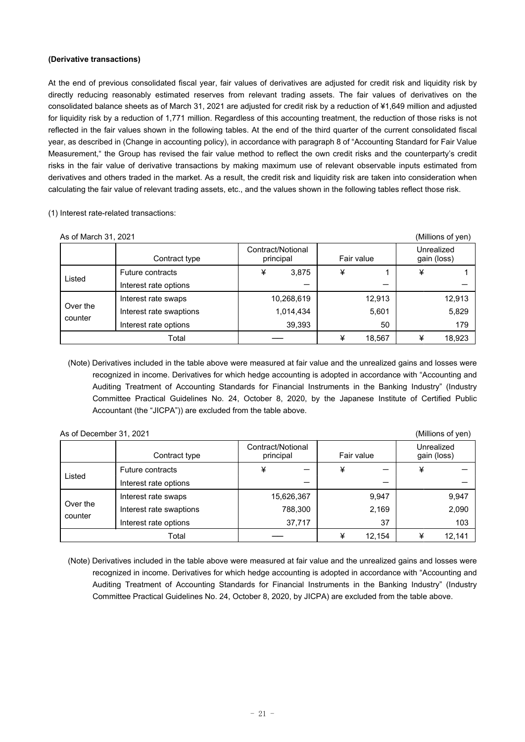## **(Derivative transactions)**

At the end of previous consolidated fiscal year, fair values of derivatives are adjusted for credit risk and liquidity risk by directly reducing reasonably estimated reserves from relevant trading assets. The fair values of derivatives on the consolidated balance sheets as of March 31, 2021 are adjusted for credit risk by a reduction of ¥1,649 million and adjusted for liquidity risk by a reduction of 1,771 million. Regardless of this accounting treatment, the reduction of those risks is not reflected in the fair values shown in the following tables. At the end of the third quarter of the current consolidated fiscal year, as described in (Change in accounting policy), in accordance with paragraph 8 of "Accounting Standard for Fair Value Measurement," the Group has revised the fair value method to reflect the own credit risks and the counterparty's credit risks in the fair value of derivative transactions by making maximum use of relevant observable inputs estimated from derivatives and others traded in the market. As a result, the credit risk and liquidity risk are taken into consideration when calculating the fair value of relevant trading assets, etc., and the values shown in the following tables reflect those risk.

| (1) Interest rate-related transactions: |
|-----------------------------------------|
|-----------------------------------------|

| As of March 31, 2021 |                         |                                |            |   |            |   | (Millions of yen)         |
|----------------------|-------------------------|--------------------------------|------------|---|------------|---|---------------------------|
|                      | Contract type           | Contract/Notional<br>principal |            |   | Fair value |   | Unrealized<br>gain (loss) |
|                      | <b>Future contracts</b> | ¥                              | 3,875      | ¥ |            | ¥ |                           |
| Listed               | Interest rate options   |                                |            |   |            |   |                           |
|                      | Interest rate swaps     |                                | 10,268,619 |   | 12,913     |   | 12,913                    |
| Over the<br>counter  | Interest rate swaptions |                                | 1,014,434  |   | 5,601      |   | 5,829                     |
|                      | Interest rate options   |                                | 39,393     |   | 50         |   | 179                       |
|                      | Total                   |                                |            | ¥ | 18,567     | ¥ | 18,923                    |

(Note) Derivatives included in the table above were measured at fair value and the unrealized gains and losses were recognized in income. Derivatives for which hedge accounting is adopted in accordance with "Accounting and Auditing Treatment of Accounting Standards for Financial Instruments in the Banking Industry" (Industry Committee Practical Guidelines No. 24, October 8, 2020, by the Japanese Institute of Certified Public Accountant (the "JICPA")) are excluded from the table above.

| As of December 31, 2021 | (Millions of yen)       |                                |             |                           |
|-------------------------|-------------------------|--------------------------------|-------------|---------------------------|
|                         | Contract type           | Contract/Notional<br>principal | Fair value  | Unrealized<br>gain (loss) |
| Listed                  | <b>Future contracts</b> | ¥                              | ¥           | ¥                         |
|                         | Interest rate options   |                                |             |                           |
|                         | Interest rate swaps     | 15,626,367                     | 9,947       | 9,947                     |
| Over the<br>counter     | Interest rate swaptions | 788,300                        | 2,169       | 2,090                     |
|                         | Interest rate options   | 37,717                         | 37          | 103                       |
|                         | Total                   |                                | ¥<br>12,154 | 12,141<br>¥               |

(Note) Derivatives included in the table above were measured at fair value and the unrealized gains and losses were recognized in income. Derivatives for which hedge accounting is adopted in accordance with "Accounting and Auditing Treatment of Accounting Standards for Financial Instruments in the Banking Industry" (Industry Committee Practical Guidelines No. 24, October 8, 2020, by JICPA) are excluded from the table above.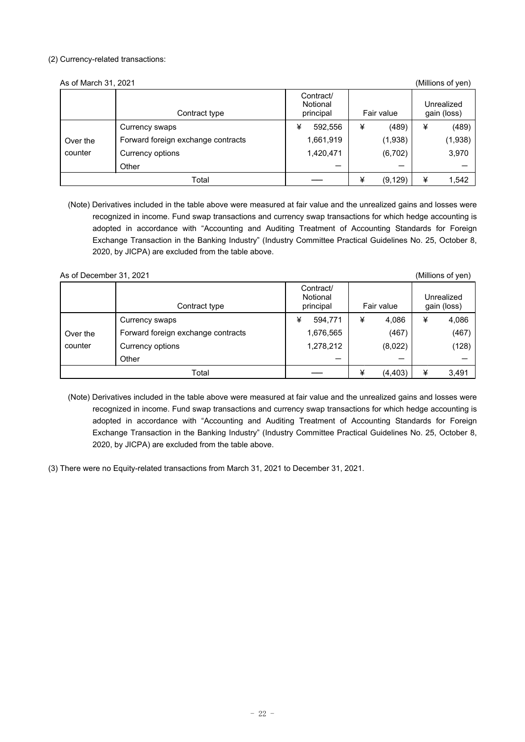## (2) Currency-related transactions:

| As of March 31, 2021 |                                    |                                    |   |            |   | (Millions of yen)         |
|----------------------|------------------------------------|------------------------------------|---|------------|---|---------------------------|
|                      | Contract type                      | Contract/<br>Notional<br>principal |   | Fair value |   | Unrealized<br>gain (loss) |
|                      | Currency swaps                     | ¥<br>592,556                       | ¥ | (489)      | ¥ | (489)                     |
| Over the             | Forward foreign exchange contracts | 1,661,919                          |   | (1,938)    |   | (1,938)                   |
| counter              | Currency options                   | 1,420,471                          |   | (6,702)    |   | 3,970                     |
|                      | Other                              |                                    |   |            |   |                           |
|                      | Total                              |                                    | ¥ | (9, 129)   | ¥ | 1,542                     |

(Note) Derivatives included in the table above were measured at fair value and the unrealized gains and losses were recognized in income. Fund swap transactions and currency swap transactions for which hedge accounting is adopted in accordance with "Accounting and Auditing Treatment of Accounting Standards for Foreign Exchange Transaction in the Banking Industry" (Industry Committee Practical Guidelines No. 25, October 8, 2020, by JICPA) are excluded from the table above.

## As of December 31, 2021 (Millions of yen)

|          | Contract type                      | Contract/<br>Notional<br>principal |   | Fair value |   | Unrealized<br>gain (loss) |
|----------|------------------------------------|------------------------------------|---|------------|---|---------------------------|
|          | Currency swaps                     | ¥<br>594,771                       | ¥ | 4,086      | ¥ | 4,086                     |
| Over the | Forward foreign exchange contracts | 1,676,565                          |   | (467)      |   | (467)                     |
| counter  | Currency options                   | 1,278,212                          |   | (8,022)    |   | (128)                     |
|          | Other                              |                                    |   |            |   |                           |
|          | Total                              |                                    | ¥ | (4, 403)   | ¥ | 3,491                     |

- (Note) Derivatives included in the table above were measured at fair value and the unrealized gains and losses were recognized in income. Fund swap transactions and currency swap transactions for which hedge accounting is adopted in accordance with "Accounting and Auditing Treatment of Accounting Standards for Foreign Exchange Transaction in the Banking Industry" (Industry Committee Practical Guidelines No. 25, October 8, 2020, by JICPA) are excluded from the table above.
- (3) There were no Equity-related transactions from March 31, 2021 to December 31, 2021.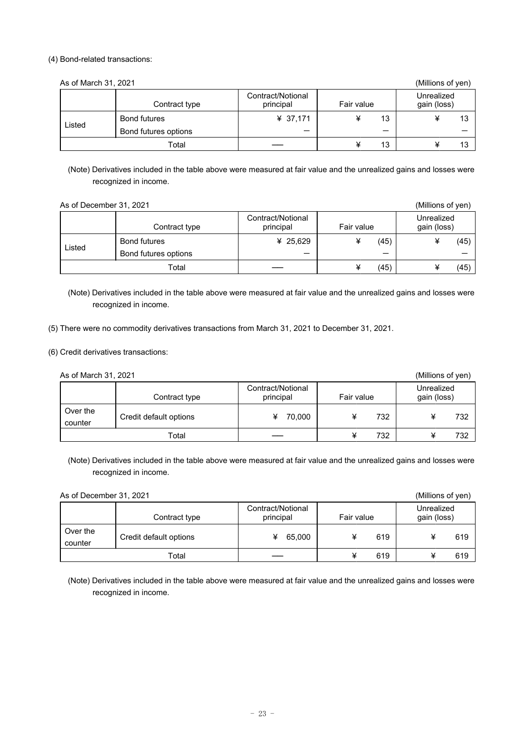#### (4) Bond-related transactions:

| As of March 31, 2021 |                      |                                |            | (Millions of yen)         |
|----------------------|----------------------|--------------------------------|------------|---------------------------|
|                      | Contract type        | Contract/Notional<br>principal | Fair value | Unrealized<br>gain (loss) |
|                      | Bond futures         | ¥ 37,171                       | 13         | 13                        |
| Listed               | Bond futures options | –                              | –          |                           |
|                      | Total                |                                | 13         | 13                        |

(Note) Derivatives included in the table above were measured at fair value and the unrealized gains and losses were recognized in income.

| As of December 31, 2021 | (Millions of yen)    |                                |            |                           |
|-------------------------|----------------------|--------------------------------|------------|---------------------------|
|                         | Contract type        | Contract/Notional<br>principal | Fair value | Unrealized<br>gain (loss) |
|                         | Bond futures         | ¥ 25,629                       | (45)       | (45)                      |
| Listed                  | Bond futures options | –                              | –          |                           |
|                         | Total                |                                | (45)       | (45)                      |

(Note) Derivatives included in the table above were measured at fair value and the unrealized gains and losses were recognized in income.

(5) There were no commodity derivatives transactions from March 31, 2021 to December 31, 2021.

(6) Credit derivatives transactions:

| As of March 31, 2021 |                        |                                |            | (Millions of yen)         |
|----------------------|------------------------|--------------------------------|------------|---------------------------|
|                      | Contract type          | Contract/Notional<br>principal | Fair value | Unrealized<br>gain (loss) |
| Over the<br>counter  | Credit default options | 70.000<br>¥                    | 732        | 732                       |
|                      | Total                  |                                | 732        | 732                       |

(Note) Derivatives included in the table above were measured at fair value and the unrealized gains and losses were recognized in income.

| As of December 31, 2021 | (Millions of yen)      |                                |            |                           |
|-------------------------|------------------------|--------------------------------|------------|---------------------------|
|                         | Contract type          | Contract/Notional<br>principal | Fair value | Unrealized<br>gain (loss) |
| Over the<br>counter     | Credit default options | 65.000                         | 619        | 619                       |
|                         | Total                  |                                | 619        | 619                       |

(Note) Derivatives included in the table above were measured at fair value and the unrealized gains and losses were recognized in income.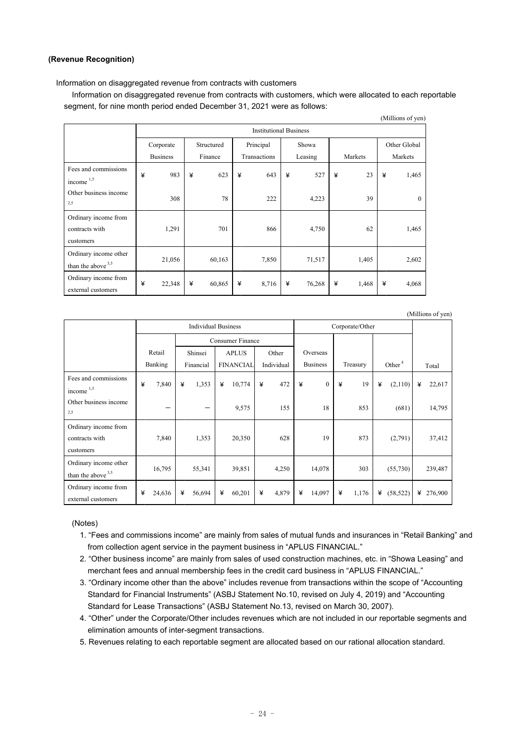#### **(Revenue Recognition)**

Information on disaggregated revenue from contracts with customers

Information on disaggregated revenue from contracts with customers, which were allocated to each reportable segment, for nine month period ended December 31, 2021 were as follows:

|                                                     |                               |                 |            |         |           |              |       |         |   |         |              | (10111110113011) |  |
|-----------------------------------------------------|-------------------------------|-----------------|------------|---------|-----------|--------------|-------|---------|---|---------|--------------|------------------|--|
|                                                     | <b>Institutional Business</b> |                 |            |         |           |              |       |         |   |         |              |                  |  |
|                                                     | Corporate                     |                 | Structured |         | Principal |              | Showa |         |   |         | Other Global |                  |  |
|                                                     |                               | <b>Business</b> |            | Finance |           | Transactions |       | Leasing |   | Markets |              | Markets          |  |
| Fees and commissions<br>income 1,5                  | ¥                             | 983             | ¥          | 623     | ¥         | 643          | ¥     | 527     | ¥ | 23      | ¥            | 1,465            |  |
| Other business income<br>2.5                        |                               | 308             |            | 78      |           | 222          |       | 4,223   |   | 39      |              | $\Omega$         |  |
| Ordinary income from<br>contracts with<br>customers |                               | 1,291           |            | 701     |           | 866          |       | 4,750   |   | 62      |              | 1,465            |  |
| Ordinary income other<br>than the above $3,5$       |                               | 21,056          |            | 60,163  |           | 7,850        |       | 71,517  |   | 1,405   |              | 2,602            |  |
| Ordinary income from<br>external customers          | ¥                             | 22,348          | ¥          | 60,865  | ¥         | 8,716        | ¥     | 76,268  | ¥ | 1,468   | ¥            | 4,068            |  |

Individual Business Corporate/Other Total Retail Banking Consumer Finance Overseas Business Treasury Other Shinsei Financial APLUS FINANCIAL Other Individual Fees and commissions income 1,5 ¥ 7,840 ¥ 1,353 ¥ 10,774 ¥ 472 ¥ 0 ¥ 19 ¥ (2,110) ¥ 22,617 Other business income 2,5  $-$  9,575 155 18 853 (681) 14,795 Ordinary income from contracts with customers 7,840 1,353 20,350 628 19 873 (2,791) 37,412 Ordinary income other than the above 3,5 16,795 55,341 39,851 4,250 14,078 303 (55,730) 239,487 Ordinary income from external customers ¥ 24,636 ¥ 56,694 ¥ 60,201 ¥ 4,879 ¥ 14,097 ¥ 1,176 ¥ (58,522) ¥ 276,900

#### (Notes)

- 1. "Fees and commissions income" are mainly from sales of mutual funds and insurances in "Retail Banking" and from collection agent service in the payment business in "APLUS FINANCIAL."
- 2. "Other business income" are mainly from sales of used construction machines, etc. in "Showa Leasing" and merchant fees and annual membership fees in the credit card business in "APLUS FINANCIAL."
- 3. "Ordinary income other than the above" includes revenue from transactions within the scope of "Accounting Standard for Financial Instruments" (ASBJ Statement No.10, revised on July 4, 2019) and "Accounting Standard for Lease Transactions" (ASBJ Statement No.13, revised on March 30, 2007).
- 4. "Other" under the Corporate/Other includes revenues which are not included in our reportable segments and elimination amounts of inter-segment transactions.
- 5. Revenues relating to each reportable segment are allocated based on our rational allocation standard.

(Millions of yen)

(Millions of yen)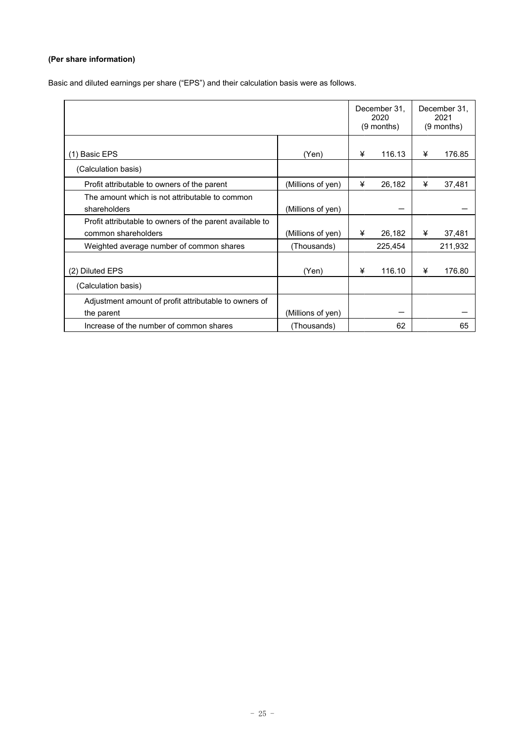# **(Per share information)**

Basic and diluted earnings per share ("EPS") and their calculation basis were as follows.

|                                                          |                   |   | December 31,<br>2020<br>$(9$ months) |   | December 31,<br>2021<br>(9 months) |
|----------------------------------------------------------|-------------------|---|--------------------------------------|---|------------------------------------|
|                                                          |                   |   |                                      |   |                                    |
| (1) Basic EPS                                            | (Yen)             | ¥ | 116.13                               | ¥ | 176.85                             |
| (Calculation basis)                                      |                   |   |                                      |   |                                    |
| Profit attributable to owners of the parent              | (Millions of yen) | ¥ | 26,182                               | ¥ | 37,481                             |
| The amount which is not attributable to common           |                   |   |                                      |   |                                    |
| shareholders                                             | (Millions of yen) |   |                                      |   |                                    |
| Profit attributable to owners of the parent available to |                   |   |                                      |   |                                    |
| common shareholders                                      | (Millions of yen) | ¥ | 26,182                               | ¥ | 37,481                             |
| Weighted average number of common shares                 | (Thousands)       |   | 225,454                              |   | 211,932                            |
|                                                          |                   |   |                                      |   |                                    |
| (2) Diluted EPS                                          | (Yen)             | ¥ | 116.10                               | ¥ | 176.80                             |
| (Calculation basis)                                      |                   |   |                                      |   |                                    |
| Adjustment amount of profit attributable to owners of    |                   |   |                                      |   |                                    |
| the parent                                               | (Millions of yen) |   |                                      |   |                                    |
| Increase of the number of common shares                  | (Thousands)       |   | 62                                   |   | 65                                 |